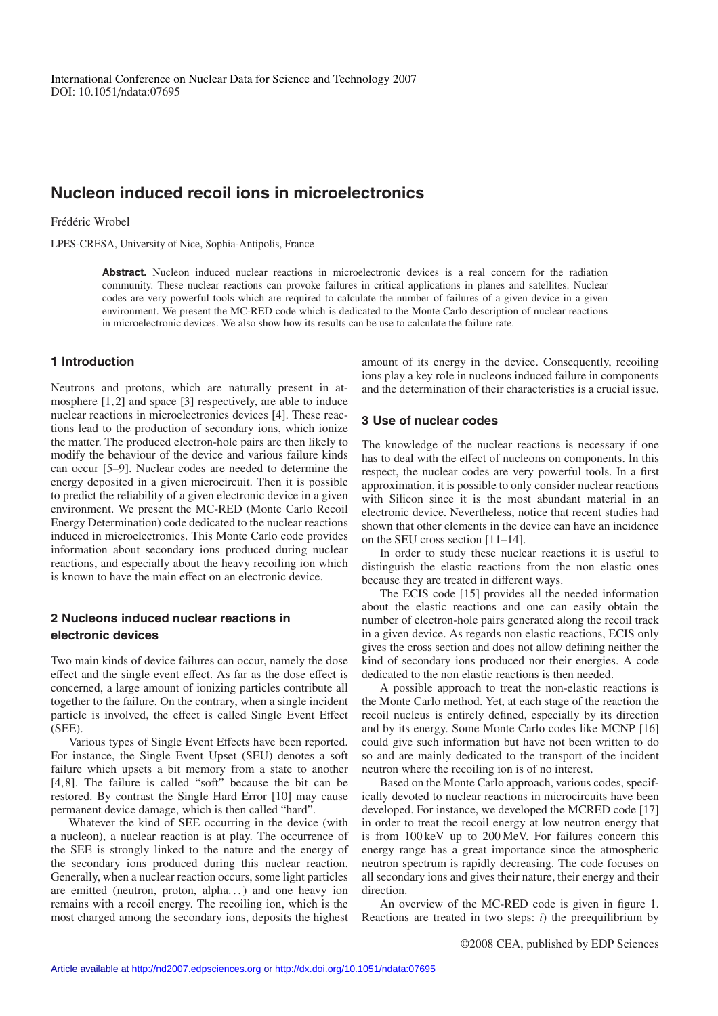# **Nucleon induced recoil ions in microelectronics**

#### Frédéric Wrobel

LPES-CRESA, University of Nice, Sophia-Antipolis, France

Abstract. Nucleon induced nuclear reactions in microelectronic devices is a real concern for the radiation community. These nuclear reactions can provoke failures in critical applications in planes and satellites. Nuclear codes are very powerful tools which are required to calculate the number of failures of a given device in a given environment. We present the MC-RED code which is dedicated to the Monte Carlo description of nuclear reactions in microelectronic devices. We also show how its results can be use to calculate the failure rate.

## **1 Introduction**

Neutrons and protons, which are naturally present in atmosphere [1,2] and space [3] respectively, are able to induce nuclear reactions in microelectronics devices [4]. These reactions lead to the production of secondary ions, which ionize the matter. The produced electron-hole pairs are then likely to modify the behaviour of the device and various failure kinds can occur [5–9]. Nuclear codes are needed to determine the energy deposited in a given microcircuit. Then it is possible to predict the reliability of a given electronic device in a given environment. We present the MC-RED (Monte Carlo Recoil Energy Determination) code dedicated to the nuclear reactions induced in microelectronics. This Monte Carlo code provides information about secondary ions produced during nuclear reactions, and especially about the heavy recoiling ion which is known to have the main effect on an electronic device.

## **2 Nucleons induced nuclear reactions in electronic devices**

Two main kinds of device failures can occur, namely the dose effect and the single event effect. As far as the dose effect is concerned, a large amount of ionizing particles contribute all together to the failure. On the contrary, when a single incident particle is involved, the effect is called Single Event Effect (SEE).

Various types of Single Event Effects have been reported. For instance, the Single Event Upset (SEU) denotes a soft failure which upsets a bit memory from a state to another [4,8]. The failure is called "soft" because the bit can be restored. By contrast the Single Hard Error [10] may cause permanent device damage, which is then called "hard".

Whatever the kind of SEE occurring in the device (with a nucleon), a nuclear reaction is at play. The occurrence of the SEE is strongly linked to the nature and the energy of the secondary ions produced during this nuclear reaction. Generally, when a nuclear reaction occurs, some light particles are emitted (neutron, proton, alpha...) and one heavy ion remains with a recoil energy. The recoiling ion, which is the most charged among the secondary ions, deposits the highest amount of its energy in the device. Consequently, recoiling ions play a key role in nucleons induced failure in components and the determination of their characteristics is a crucial issue.

## **3 Use of nuclear codes**

The knowledge of the nuclear reactions is necessary if one has to deal with the effect of nucleons on components. In this respect, the nuclear codes are very powerful tools. In a first approximation, it is possible to only consider nuclear reactions with Silicon since it is the most abundant material in an electronic device. Nevertheless, notice that recent studies had shown that other elements in the device can have an incidence on the SEU cross section [11–14].

In order to study these nuclear reactions it is useful to distinguish the elastic reactions from the non elastic ones because they are treated in different ways.

The ECIS code [15] provides all the needed information about the elastic reactions and one can easily obtain the number of electron-hole pairs generated along the recoil track in a given device. As regards non elastic reactions, ECIS only gives the cross section and does not allow defining neither the kind of secondary ions produced nor their energies. A code dedicated to the non elastic reactions is then needed.

A possible approach to treat the non-elastic reactions is the Monte Carlo method. Yet, at each stage of the reaction the recoil nucleus is entirely defined, especially by its direction and by its energy. Some Monte Carlo codes like MCNP [16] could give such information but have not been written to do so and are mainly dedicated to the transport of the incident neutron where the recoiling ion is of no interest.

Based on the Monte Carlo approach, various codes, specifically devoted to nuclear reactions in microcircuits have been developed. For instance, we developed the MCRED code [17] in order to treat the recoil energy at low neutron energy that is from 100 keV up to 200 MeV. For failures concern this energy range has a great importance since the atmospheric neutron spectrum is rapidly decreasing. The code focuses on all secondary ions and gives their nature, their energy and their direction.

An overview of the MC-RED code is given in figure 1. Reactions are treated in two steps:  $i$ ) the preequilibrium by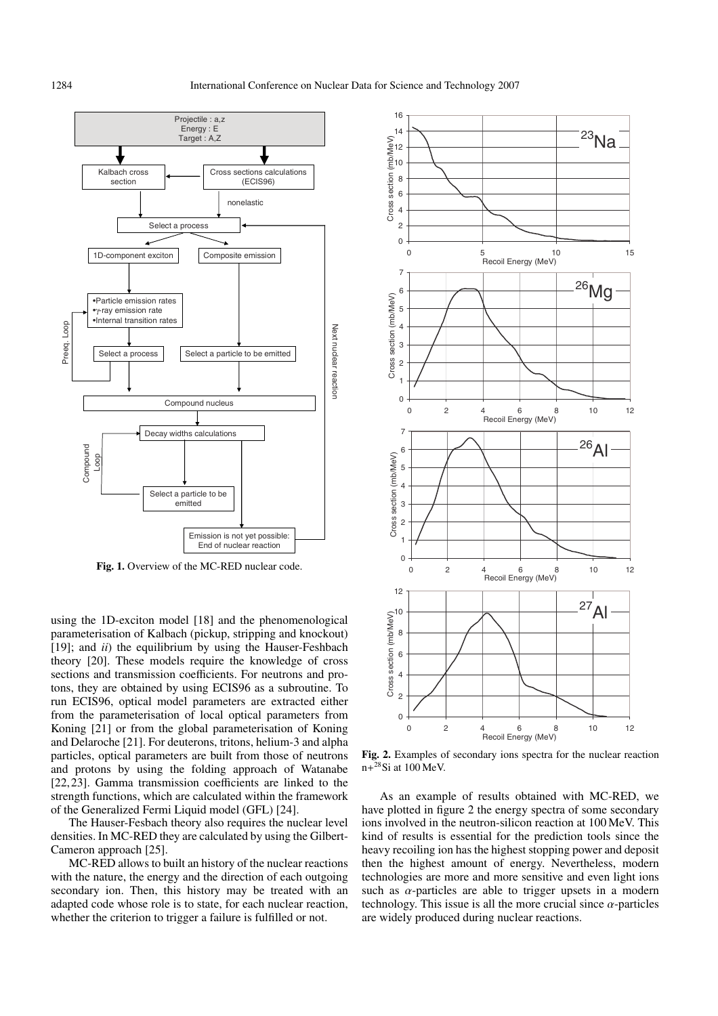

**Fig. 1.** Overview of the MC-RED nuclear code.

using the 1D-exciton model [18] and the phenomenological parameterisation of Kalbach (pickup, stripping and knockout) [19]; and *ii*) the equilibrium by using the Hauser-Feshbach theory [20]. These models require the knowledge of cross sections and transmission coefficients. For neutrons and protons, they are obtained by using ECIS96 as a subroutine. To run ECIS96, optical model parameters are extracted either from the parameterisation of local optical parameters from Koning [21] or from the global parameterisation of Koning and Delaroche [21]. For deuterons, tritons, helium-3 and alpha particles, optical parameters are built from those of neutrons and protons by using the folding approach of Watanabe [22,23]. Gamma transmission coefficients are linked to the strength functions, which are calculated within the framework of the Generalized Fermi Liquid model (GFL) [24].

The Hauser-Fesbach theory also requires the nuclear level densities. In MC-RED they are calculated by using the Gilbert-Cameron approach [25].

MC-RED allows to built an history of the nuclear reactions with the nature, the energy and the direction of each outgoing secondary ion. Then, this history may be treated with an adapted code whose role is to state, for each nuclear reaction, whether the criterion to trigger a failure is fulfilled or not.



**Fig. 2.** Examples of secondary ions spectra for the nuclear reaction  $n+^{28}$ Si at 100 MeV.

As an example of results obtained with MC-RED, we have plotted in figure 2 the energy spectra of some secondary ions involved in the neutron-silicon reaction at 100 MeV. This kind of results is essential for the prediction tools since the heavy recoiling ion has the highest stopping power and deposit then the highest amount of energy. Nevertheless, modern technologies are more and more sensitive and even light ions such as  $\alpha$ -particles are able to trigger upsets in a modern technology. This issue is all the more crucial since  $\alpha$ -particles are widely produced during nuclear reactions.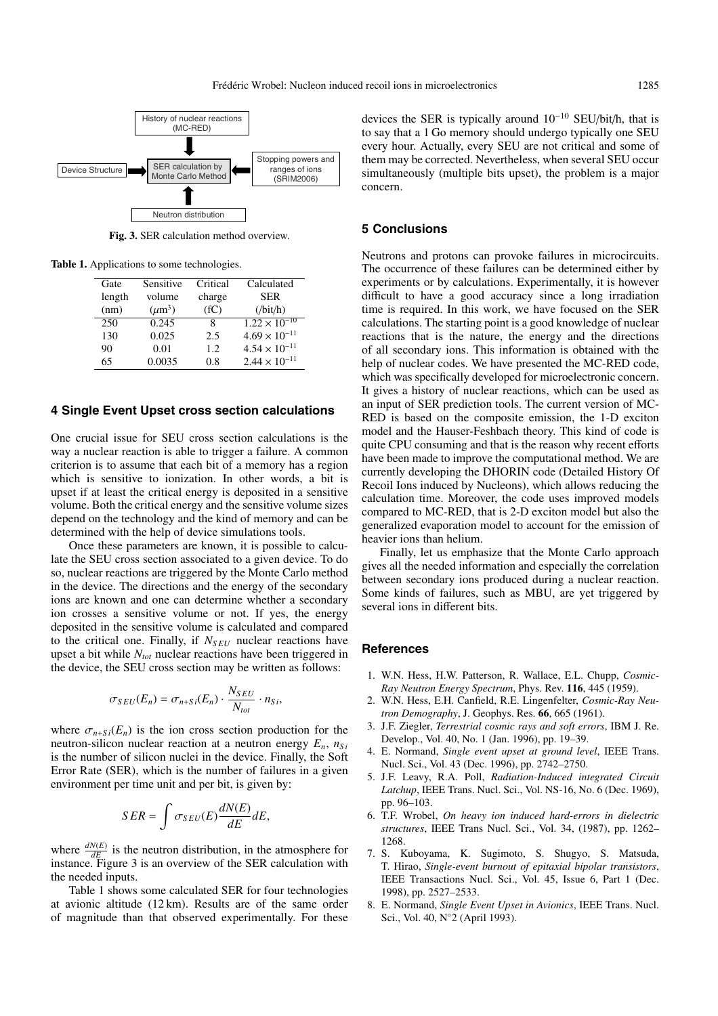

**Fig. 3.** SER calculation method overview.

**Table 1.** Applications to some technologies.

| Gate   | Sensitive   | Critical | Calculated                        |
|--------|-------------|----------|-----------------------------------|
| length | volume      | charge   | <b>SER</b>                        |
| (nm)   | $(\mu m^3)$ | (fC)     | $(\text{bit/h})$                  |
| 250    | 0.245       | 8        | $1.\overline{22 \times 10^{-10}}$ |
| 130    | 0.025       | 2.5      | $4.69 \times 10^{-11}$            |
| 90     | 0.01        | 1.2      | $4.54 \times 10^{-11}$            |
| 65     | 0.0035      | 0.8      | $2.44 \times 10^{-11}$            |

## **4 Single Event Upset cross section calculations**

One crucial issue for SEU cross section calculations is the way a nuclear reaction is able to trigger a failure. A common criterion is to assume that each bit of a memory has a region which is sensitive to ionization. In other words, a bit is upset if at least the critical energy is deposited in a sensitive volume. Both the critical energy and the sensitive volume sizes depend on the technology and the kind of memory and can be determined with the help of device simulations tools.

Once these parameters are known, it is possible to calculate the SEU cross section associated to a given device. To do so, nuclear reactions are triggered by the Monte Carlo method in the device. The directions and the energy of the secondary ions are known and one can determine whether a secondary ion crosses a sensitive volume or not. If yes, the energy deposited in the sensitive volume is calculated and compared to the critical one. Finally, if *NS EU* nuclear reactions have upset a bit while *Ntot* nuclear reactions have been triggered in the device, the SEU cross section may be written as follows:

$$
\sigma_{SEU}(E_n) = \sigma_{n+Si}(E_n) \cdot \frac{N_{SEU}}{N_{tot}} \cdot n_{Si},
$$

where  $\sigma_{n+S_i}(E_n)$  is the ion cross section production for the neutron-silicon nuclear reaction at a neutron energy  $E_n$ ,  $n_{Si}$ is the number of silicon nuclei in the device. Finally, the Soft Error Rate (SER), which is the number of failures in a given environment per time unit and per bit, is given by:

$$
SER = \int \sigma_{SEU}(E) \frac{dN(E)}{dE} dE,
$$

where  $\frac{dN(E)}{dE}$  is the neutron distribution, in the atmosphere for where  $\frac{dE}{dE}$  is the helition distribution, in the atmosphere for instance. Figure 3 is an overview of the SER calculation with the needed inputs.

Table 1 shows some calculated SER for four technologies at avionic altitude (12 km). Results are of the same order of magnitude than that observed experimentally. For these

devices the SER is typically around  $10^{-10}$  SEU/bit/h, that is to say that a 1 Go memory should undergo typically one SEU every hour. Actually, every SEU are not critical and some of them may be corrected. Nevertheless, when several SEU occur simultaneously (multiple bits upset), the problem is a major concern.

### **5 Conclusions**

Neutrons and protons can provoke failures in microcircuits. The occurrence of these failures can be determined either by experiments or by calculations. Experimentally, it is however difficult to have a good accuracy since a long irradiation time is required. In this work, we have focused on the SER calculations. The starting point is a good knowledge of nuclear reactions that is the nature, the energy and the directions of all secondary ions. This information is obtained with the help of nuclear codes. We have presented the MC-RED code, which was specifically developed for microelectronic concern. It gives a history of nuclear reactions, which can be used as an input of SER prediction tools. The current version of MC-RED is based on the composite emission, the 1-D exciton model and the Hauser-Feshbach theory. This kind of code is quite CPU consuming and that is the reason why recent efforts have been made to improve the computational method. We are currently developing the DHORIN code (Detailed History Of Recoil Ions induced by Nucleons), which allows reducing the calculation time. Moreover, the code uses improved models compared to MC-RED, that is 2-D exciton model but also the generalized evaporation model to account for the emission of heavier ions than helium.

Finally, let us emphasize that the Monte Carlo approach gives all the needed information and especially the correlation between secondary ions produced during a nuclear reaction. Some kinds of failures, such as MBU, are yet triggered by several ions in different bits.

#### **References**

- 1. W.N. Hess, H.W. Patterson, R. Wallace, E.L. Chupp, *Cosmic-Ray Neutron Energy Spectrum*, Phys. Rev. **116**, 445 (1959).
- 2. W.N. Hess, E.H. Canfield, R.E. Lingenfelter, *Cosmic-Ray Neutron Demography*, J. Geophys. Res. **66**, 665 (1961).
- 3. J.F. Ziegler, *Terrestrial cosmic rays and soft errors*, IBM J. Re. Develop., Vol. 40, No. 1 (Jan. 1996), pp. 19–39.
- 4. E. Normand, *Single event upset at ground level*, IEEE Trans. Nucl. Sci., Vol. 43 (Dec. 1996), pp. 2742–2750.
- 5. J.F. Leavy, R.A. Poll, *Radiation-Induced integrated Circuit Latchup*, IEEE Trans. Nucl. Sci., Vol. NS-16, No. 6 (Dec. 1969), pp. 96–103.
- 6. T.F. Wrobel, *On heavy ion induced hard-errors in dielectric structures*, IEEE Trans Nucl. Sci., Vol. 34, (1987), pp. 1262– 1268.
- 7. S. Kuboyama, K. Sugimoto, S. Shugyo, S. Matsuda, T. Hirao, *Single-event burnout of epitaxial bipolar transistors*, IEEE Transactions Nucl. Sci., Vol. 45, Issue 6, Part 1 (Dec. 1998), pp. 2527–2533.
- 8. E. Normand, *Single Event Upset in Avionics*, IEEE Trans. Nucl. Sci., Vol. 40, N◦2 (April 1993).